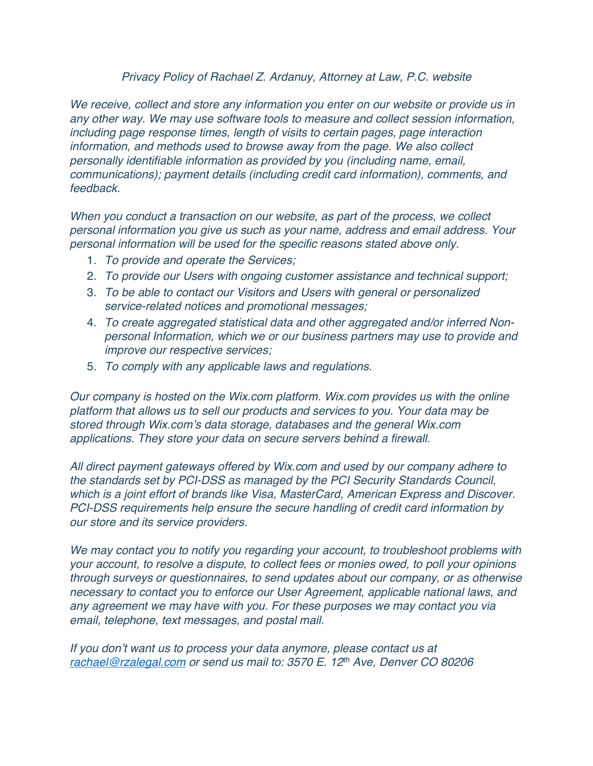## *Privacy Policy of Rachael Z. Ardanuy, Attorney at Law, P.C. website*

*We receive, collect and store any information you enter on our website or provide us in any other way. We may use software tools to measure and collect session information, including page response times, length of visits to certain pages, page interaction information, and methods used to browse away from the page. We also collect personally identifiable information as provided by you (including name, email, communications); payment details (including credit card information), comments, and feedback.*

*When you conduct a transaction on our website, as part of the process, we collect personal information you give us such as your name, address and email address. Your personal information will be used for the specific reasons stated above only.*

- 1. *To provide and operate the Services;*
- 2. *To provide our Users with ongoing customer assistance and technical support;*
- 3. *To be able to contact our Visitors and Users with general or personalized service-related notices and promotional messages;*
- 4. *To create aggregated statistical data and other aggregated and/or inferred Nonpersonal Information, which we or our business partners may use to provide and improve our respective services;*
- 5. *To comply with any applicable laws and regulations.*

*Our company is hosted on the Wix.com platform. Wix.com provides us with the online platform that allows us to sell our products and services to you. Your data may be stored through Wix.com's data storage, databases and the general Wix.com applications. They store your data on secure servers behind a firewall.*

*All direct payment gateways offered by Wix.com and used by our company adhere to the standards set by PCI-DSS as managed by the PCI Security Standards Council, which is a joint effort of brands like Visa, MasterCard, American Express and Discover. PCI-DSS requirements help ensure the secure handling of credit card information by our store and its service providers.*

*We may contact you to notify you regarding your account, to troubleshoot problems with your account, to resolve a dispute, to collect fees or monies owed, to poll your opinions through surveys or questionnaires, to send updates about our company, or as otherwise necessary to contact you to enforce our User Agreement, applicable national laws, and any agreement we may have with you. For these purposes we may contact you via email, telephone, text messages, and postal mail.*

*If you don't want us to process your data anymore, please contact us at rachael@rzalegal.com or send us mail to: 3570 E. 12th Ave, Denver CO 80206*